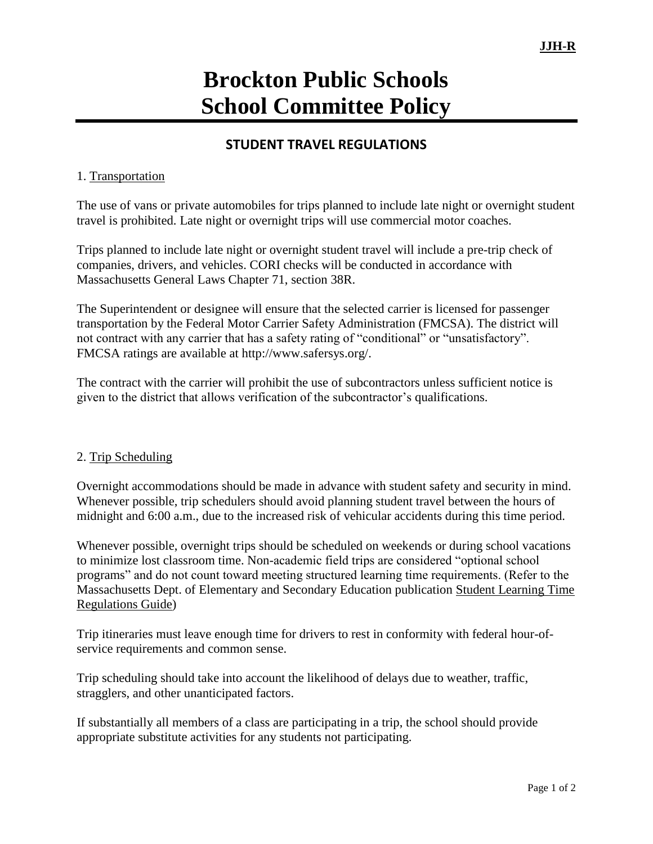# **Brockton Public Schools School Committee Policy**

## **STUDENT TRAVEL REGULATIONS**

#### 1. Transportation

The use of vans or private automobiles for trips planned to include late night or overnight student travel is prohibited. Late night or overnight trips will use commercial motor coaches.

Trips planned to include late night or overnight student travel will include a pre-trip check of companies, drivers, and vehicles. CORI checks will be conducted in accordance with Massachusetts General Laws Chapter 71, section 38R.

The Superintendent or designee will ensure that the selected carrier is licensed for passenger transportation by the Federal Motor Carrier Safety Administration (FMCSA). The district will not contract with any carrier that has a safety rating of "conditional" or "unsatisfactory". FMCSA ratings are available at http://www.safersys.org/.

The contract with the carrier will prohibit the use of subcontractors unless sufficient notice is given to the district that allows verification of the subcontractor's qualifications.

#### 2. Trip Scheduling

Overnight accommodations should be made in advance with student safety and security in mind. Whenever possible, trip schedulers should avoid planning student travel between the hours of midnight and 6:00 a.m., due to the increased risk of vehicular accidents during this time period.

Whenever possible, overnight trips should be scheduled on weekends or during school vacations to minimize lost classroom time. Non-academic field trips are considered "optional school programs" and do not count toward meeting structured learning time requirements. (Refer to the Massachusetts Dept. of Elementary and Secondary Education publication Student Learning Time Regulations Guide)

Trip itineraries must leave enough time for drivers to rest in conformity with federal hour-ofservice requirements and common sense.

Trip scheduling should take into account the likelihood of delays due to weather, traffic, stragglers, and other unanticipated factors.

If substantially all members of a class are participating in a trip, the school should provide appropriate substitute activities for any students not participating.